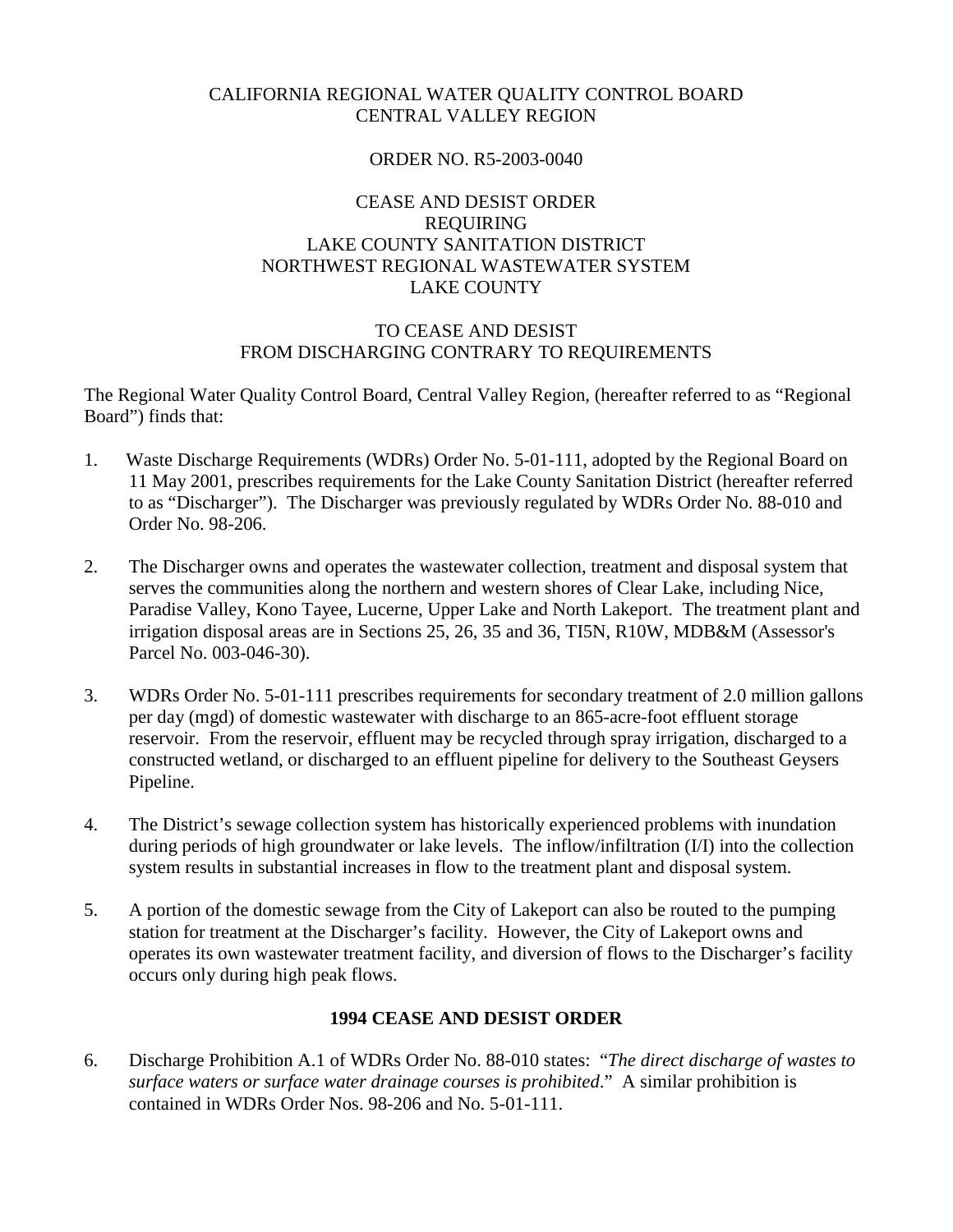# CALIFORNIA REGIONAL WATER QUALITY CONTROL BOARD CENTRAL VALLEY REGION

### ORDER NO. R5-2003-0040

### CEASE AND DESIST ORDER REQUIRING LAKE COUNTY SANITATION DISTRICT NORTHWEST REGIONAL WASTEWATER SYSTEM LAKE COUNTY

### TO CEASE AND DESIST FROM DISCHARGING CONTRARY TO REQUIREMENTS

The Regional Water Quality Control Board, Central Valley Region, (hereafter referred to as "Regional Board") finds that:

- 1. Waste Discharge Requirements (WDRs) Order No. 5-01-111, adopted by the Regional Board on 11 May 2001, prescribes requirements for the Lake County Sanitation District (hereafter referred to as "Discharger"). The Discharger was previously regulated by WDRs Order No. 88-010 and Order No. 98-206.
- 2. The Discharger owns and operates the wastewater collection, treatment and disposal system that serves the communities along the northern and western shores of Clear Lake, including Nice, Paradise Valley, Kono Tayee, Lucerne, Upper Lake and North Lakeport. The treatment plant and irrigation disposal areas are in Sections 25, 26, 35 and 36, TI5N, R10W, MDB&M (Assessor's Parcel No. 003-046-30).
- 3. WDRs Order No. 5-01-111 prescribes requirements for secondary treatment of 2.0 million gallons per day (mgd) of domestic wastewater with discharge to an 865-acre-foot effluent storage reservoir. From the reservoir, effluent may be recycled through spray irrigation, discharged to a constructed wetland, or discharged to an effluent pipeline for delivery to the Southeast Geysers Pipeline.
- 4. The District's sewage collection system has historically experienced problems with inundation during periods of high groundwater or lake levels. The inflow/infiltration (I/I) into the collection system results in substantial increases in flow to the treatment plant and disposal system.
- 5. A portion of the domestic sewage from the City of Lakeport can also be routed to the pumping station for treatment at the Discharger's facility. However, the City of Lakeport owns and operates its own wastewater treatment facility, and diversion of flows to the Discharger's facility occurs only during high peak flows.

# **1994 CEASE AND DESIST ORDER**

6. Discharge Prohibition A.1 of WDRs Order No. 88-010 states: "*The direct discharge of wastes to surface waters or surface water drainage courses is prohibited*." A similar prohibition is contained in WDRs Order Nos. 98-206 and No. 5-01-111.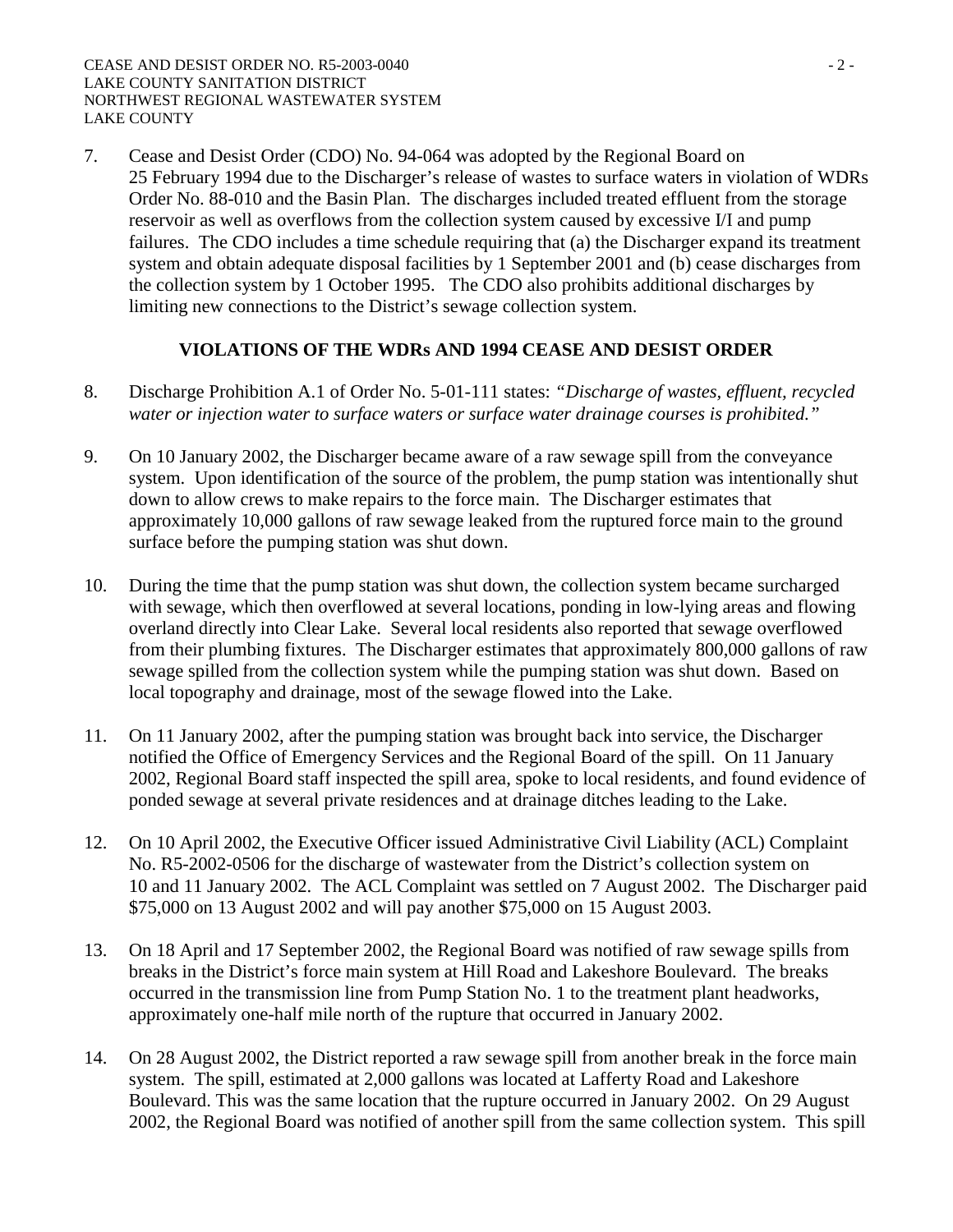7. Cease and Desist Order (CDO) No. 94-064 was adopted by the Regional Board on 25 February 1994 due to the Discharger's release of wastes to surface waters in violation of WDRs Order No. 88-010 and the Basin Plan. The discharges included treated effluent from the storage reservoir as well as overflows from the collection system caused by excessive I/I and pump failures. The CDO includes a time schedule requiring that (a) the Discharger expand its treatment system and obtain adequate disposal facilities by 1 September 2001 and (b) cease discharges from the collection system by 1 October 1995. The CDO also prohibits additional discharges by limiting new connections to the District's sewage collection system.

# **VIOLATIONS OF THE WDRs AND 1994 CEASE AND DESIST ORDER**

- 8. Discharge Prohibition A.1 of Order No. 5-01-111 states: *"Discharge of wastes, effluent, recycled water or injection water to surface waters or surface water drainage courses is prohibited."*
- 9. On 10 January 2002, the Discharger became aware of a raw sewage spill from the conveyance system. Upon identification of the source of the problem, the pump station was intentionally shut down to allow crews to make repairs to the force main. The Discharger estimates that approximately 10,000 gallons of raw sewage leaked from the ruptured force main to the ground surface before the pumping station was shut down.
- 10. During the time that the pump station was shut down, the collection system became surcharged with sewage, which then overflowed at several locations, ponding in low-lying areas and flowing overland directly into Clear Lake. Several local residents also reported that sewage overflowed from their plumbing fixtures. The Discharger estimates that approximately 800,000 gallons of raw sewage spilled from the collection system while the pumping station was shut down. Based on local topography and drainage, most of the sewage flowed into the Lake.
- 11. On 11 January 2002, after the pumping station was brought back into service, the Discharger notified the Office of Emergency Services and the Regional Board of the spill. On 11 January 2002, Regional Board staff inspected the spill area, spoke to local residents, and found evidence of ponded sewage at several private residences and at drainage ditches leading to the Lake.
- 12. On 10 April 2002, the Executive Officer issued Administrative Civil Liability (ACL) Complaint No. R5-2002-0506 for the discharge of wastewater from the District's collection system on 10 and 11 January 2002. The ACL Complaint was settled on 7 August 2002. The Discharger paid \$75,000 on 13 August 2002 and will pay another \$75,000 on 15 August 2003.
- 13. On 18 April and 17 September 2002, the Regional Board was notified of raw sewage spills from breaks in the District's force main system at Hill Road and Lakeshore Boulevard. The breaks occurred in the transmission line from Pump Station No. 1 to the treatment plant headworks, approximately one-half mile north of the rupture that occurred in January 2002.
- 14. On 28 August 2002, the District reported a raw sewage spill from another break in the force main system. The spill, estimated at 2,000 gallons was located at Lafferty Road and Lakeshore Boulevard. This was the same location that the rupture occurred in January 2002. On 29 August 2002, the Regional Board was notified of another spill from the same collection system. This spill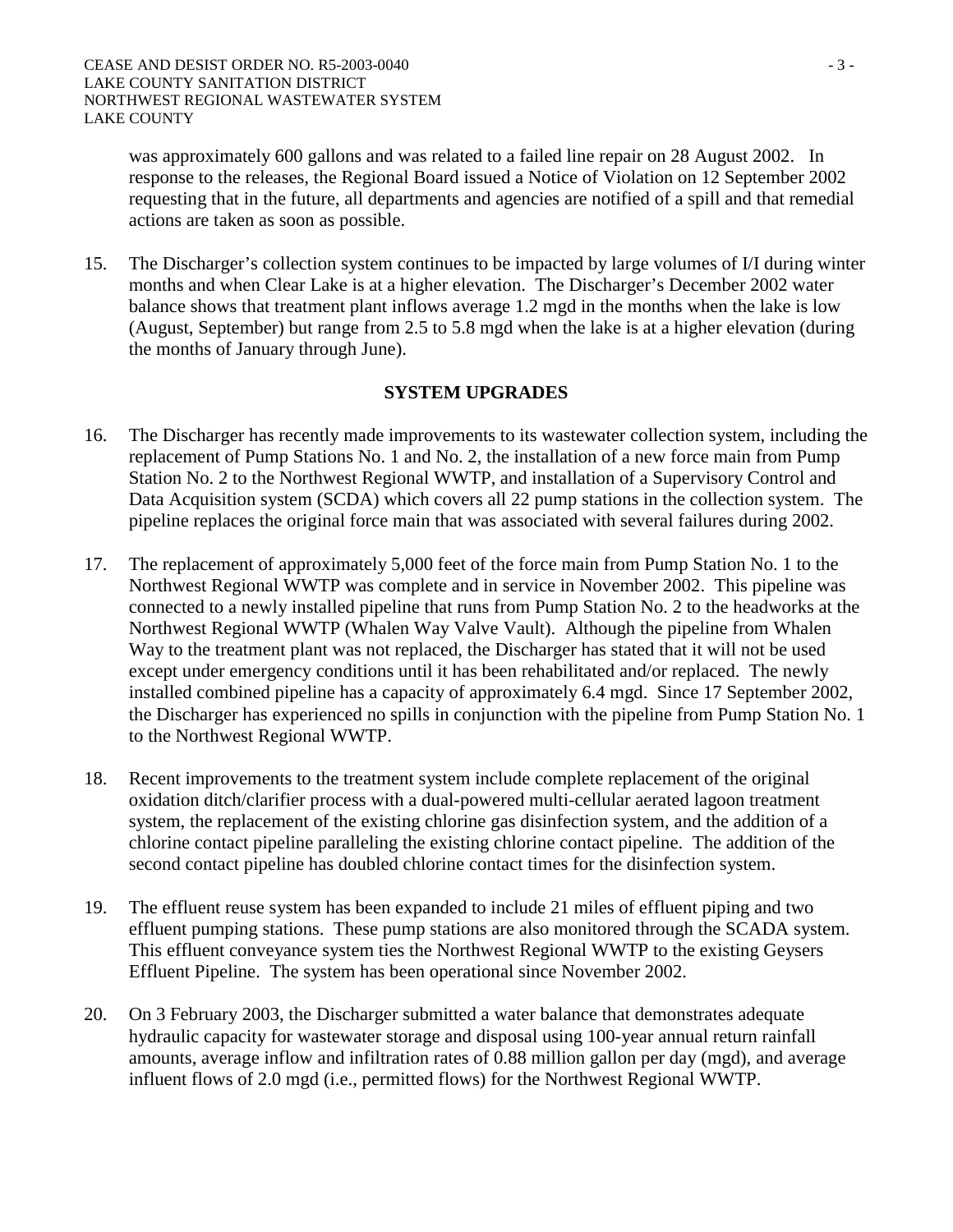was approximately 600 gallons and was related to a failed line repair on 28 August 2002. In response to the releases, the Regional Board issued a Notice of Violation on 12 September 2002 requesting that in the future, all departments and agencies are notified of a spill and that remedial actions are taken as soon as possible.

15. The Discharger's collection system continues to be impacted by large volumes of I/I during winter months and when Clear Lake is at a higher elevation. The Discharger's December 2002 water balance shows that treatment plant inflows average 1.2 mgd in the months when the lake is low (August, September) but range from 2.5 to 5.8 mgd when the lake is at a higher elevation (during the months of January through June).

### **SYSTEM UPGRADES**

- 16. The Discharger has recently made improvements to its wastewater collection system, including the replacement of Pump Stations No. 1 and No. 2, the installation of a new force main from Pump Station No. 2 to the Northwest Regional WWTP, and installation of a Supervisory Control and Data Acquisition system (SCDA) which covers all 22 pump stations in the collection system. The pipeline replaces the original force main that was associated with several failures during 2002.
- 17. The replacement of approximately 5,000 feet of the force main from Pump Station No. 1 to the Northwest Regional WWTP was complete and in service in November 2002. This pipeline was connected to a newly installed pipeline that runs from Pump Station No. 2 to the headworks at the Northwest Regional WWTP (Whalen Way Valve Vault). Although the pipeline from Whalen Way to the treatment plant was not replaced, the Discharger has stated that it will not be used except under emergency conditions until it has been rehabilitated and/or replaced. The newly installed combined pipeline has a capacity of approximately 6.4 mgd. Since 17 September 2002, the Discharger has experienced no spills in conjunction with the pipeline from Pump Station No. 1 to the Northwest Regional WWTP.
- 18. Recent improvements to the treatment system include complete replacement of the original oxidation ditch/clarifier process with a dual-powered multi-cellular aerated lagoon treatment system, the replacement of the existing chlorine gas disinfection system, and the addition of a chlorine contact pipeline paralleling the existing chlorine contact pipeline. The addition of the second contact pipeline has doubled chlorine contact times for the disinfection system.
- 19. The effluent reuse system has been expanded to include 21 miles of effluent piping and two effluent pumping stations. These pump stations are also monitored through the SCADA system. This effluent conveyance system ties the Northwest Regional WWTP to the existing Geysers Effluent Pipeline. The system has been operational since November 2002.
- 20. On 3 February 2003, the Discharger submitted a water balance that demonstrates adequate hydraulic capacity for wastewater storage and disposal using 100-year annual return rainfall amounts, average inflow and infiltration rates of 0.88 million gallon per day (mgd), and average influent flows of 2.0 mgd (i.e., permitted flows) for the Northwest Regional WWTP.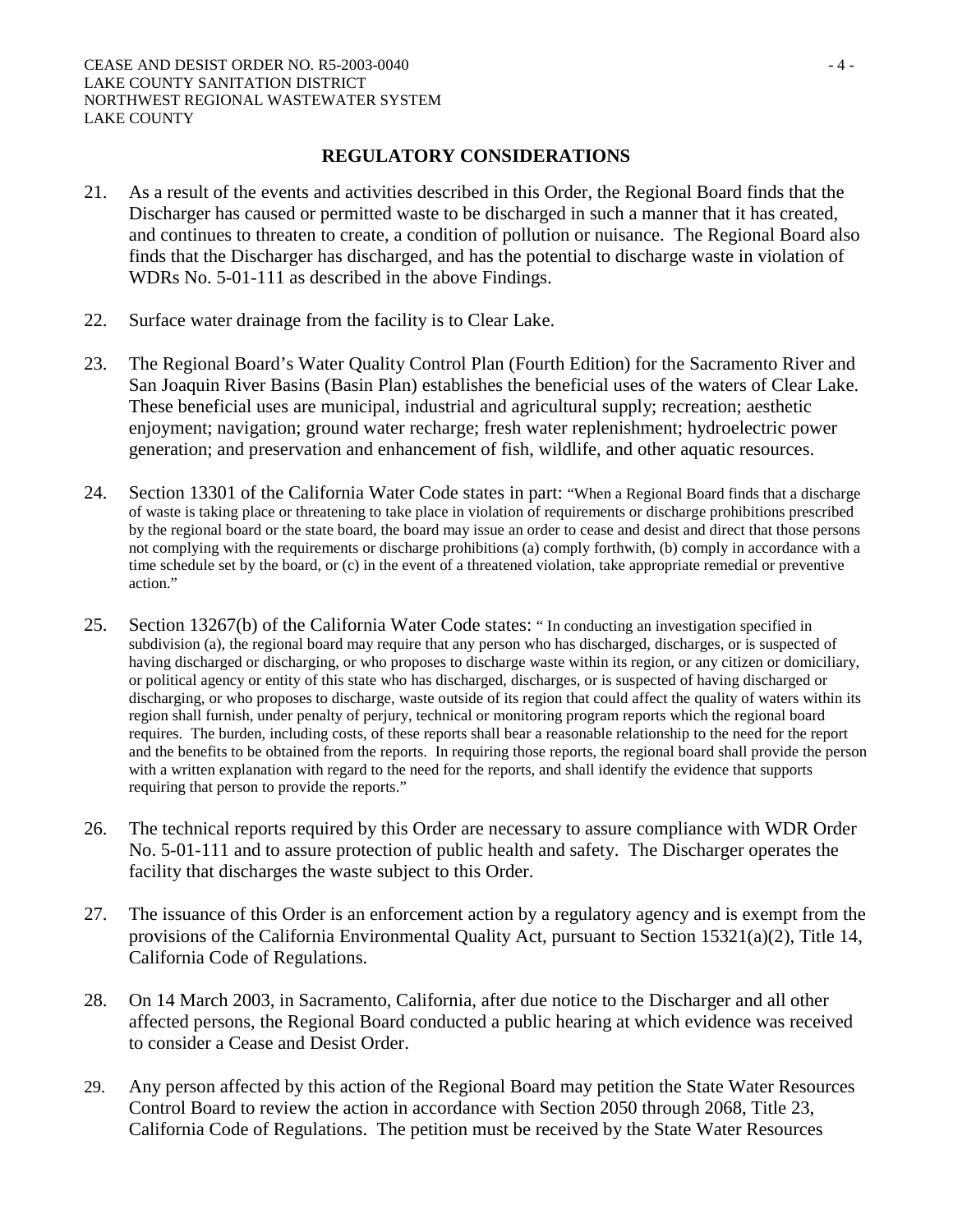### **REGULATORY CONSIDERATIONS**

- 21. As a result of the events and activities described in this Order, the Regional Board finds that the Discharger has caused or permitted waste to be discharged in such a manner that it has created, and continues to threaten to create, a condition of pollution or nuisance. The Regional Board also finds that the Discharger has discharged, and has the potential to discharge waste in violation of WDRs No. 5-01-111 as described in the above Findings.
- 22. Surface water drainage from the facility is to Clear Lake.
- 23. The Regional Board's Water Quality Control Plan (Fourth Edition) for the Sacramento River and San Joaquin River Basins (Basin Plan) establishes the beneficial uses of the waters of Clear Lake. These beneficial uses are municipal, industrial and agricultural supply; recreation; aesthetic enjoyment; navigation; ground water recharge; fresh water replenishment; hydroelectric power generation; and preservation and enhancement of fish, wildlife, and other aquatic resources.
- 24. Section 13301 of the California Water Code states in part: "When a Regional Board finds that a discharge of waste is taking place or threatening to take place in violation of requirements or discharge prohibitions prescribed by the regional board or the state board, the board may issue an order to cease and desist and direct that those persons not complying with the requirements or discharge prohibitions (a) comply forthwith, (b) comply in accordance with a time schedule set by the board, or (c) in the event of a threatened violation, take appropriate remedial or preventive action."
- 25. Section 13267(b) of the California Water Code states: " In conducting an investigation specified in subdivision (a), the regional board may require that any person who has discharged, discharges, or is suspected of having discharged or discharging, or who proposes to discharge waste within its region, or any citizen or domiciliary, or political agency or entity of this state who has discharged, discharges, or is suspected of having discharged or discharging, or who proposes to discharge, waste outside of its region that could affect the quality of waters within its region shall furnish, under penalty of perjury, technical or monitoring program reports which the regional board requires. The burden, including costs, of these reports shall bear a reasonable relationship to the need for the report and the benefits to be obtained from the reports. In requiring those reports, the regional board shall provide the person with a written explanation with regard to the need for the reports, and shall identify the evidence that supports requiring that person to provide the reports."
- 26. The technical reports required by this Order are necessary to assure compliance with WDR Order No. 5-01-111 and to assure protection of public health and safety. The Discharger operates the facility that discharges the waste subject to this Order.
- 27. The issuance of this Order is an enforcement action by a regulatory agency and is exempt from the provisions of the California Environmental Quality Act, pursuant to Section 15321(a)(2), Title 14, California Code of Regulations.
- 28. On 14 March 2003, in Sacramento, California, after due notice to the Discharger and all other affected persons, the Regional Board conducted a public hearing at which evidence was received to consider a Cease and Desist Order.
- 29. Any person affected by this action of the Regional Board may petition the State Water Resources Control Board to review the action in accordance with Section 2050 through 2068, Title 23, California Code of Regulations. The petition must be received by the State Water Resources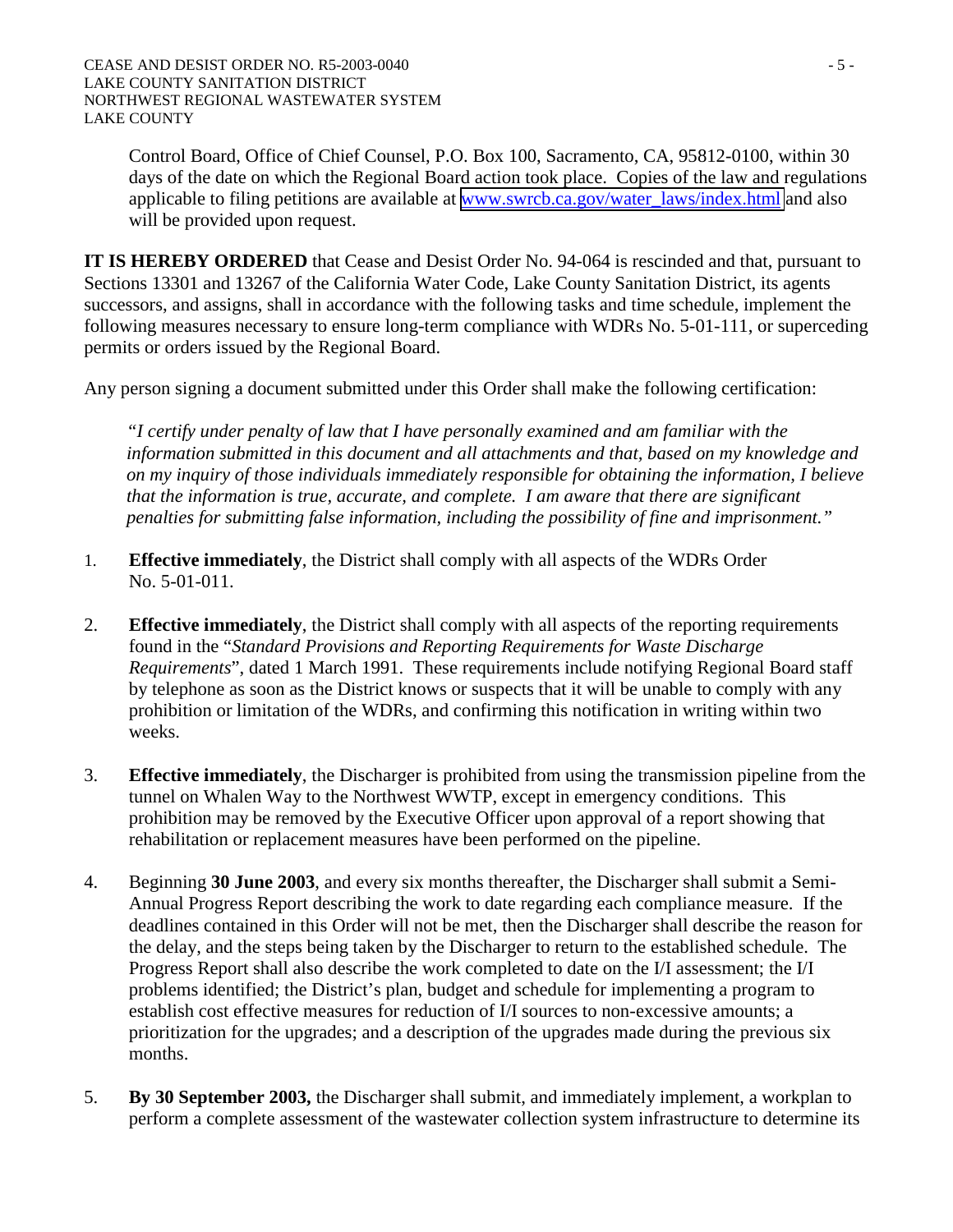Control Board, Office of Chief Counsel, P.O. Box 100, Sacramento, CA, 95812-0100, within 30 days of the date on which the Regional Board action took place. Copies of the law and regulations applicable to filing petitions are available at [www.swrcb.ca.gov/water\\_laws/index.html](http://www.swrcb.ca.gov/water_laws/index.html) and also will be provided upon request.

**IT IS HEREBY ORDERED** that Cease and Desist Order No. 94-064 is rescinded and that, pursuant to Sections 13301 and 13267 of the California Water Code, Lake County Sanitation District, its agents successors, and assigns, shall in accordance with the following tasks and time schedule, implement the following measures necessary to ensure long-term compliance with WDRs No. 5-01-111, or superceding permits or orders issued by the Regional Board.

Any person signing a document submitted under this Order shall make the following certification:

*"I certify under penalty of law that I have personally examined and am familiar with the information submitted in this document and all attachments and that, based on my knowledge and on my inquiry of those individuals immediately responsible for obtaining the information, I believe that the information is true, accurate, and complete. I am aware that there are significant penalties for submitting false information, including the possibility of fine and imprisonment."* 

- 1. **Effective immediately**, the District shall comply with all aspects of the WDRs Order No. 5-01-011.
- 2. **Effective immediately**, the District shall comply with all aspects of the reporting requirements found in the "*Standard Provisions and Reporting Requirements for Waste Discharge Requirements*", dated 1 March 1991. These requirements include notifying Regional Board staff by telephone as soon as the District knows or suspects that it will be unable to comply with any prohibition or limitation of the WDRs, and confirming this notification in writing within two weeks.
- 3. **Effective immediately**, the Discharger is prohibited from using the transmission pipeline from the tunnel on Whalen Way to the Northwest WWTP, except in emergency conditions. This prohibition may be removed by the Executive Officer upon approval of a report showing that rehabilitation or replacement measures have been performed on the pipeline.
- 4. Beginning **30 June 2003**, and every six months thereafter, the Discharger shall submit a Semi-Annual Progress Report describing the work to date regarding each compliance measure. If the deadlines contained in this Order will not be met, then the Discharger shall describe the reason for the delay, and the steps being taken by the Discharger to return to the established schedule. The Progress Report shall also describe the work completed to date on the I/I assessment; the I/I problems identified; the District's plan, budget and schedule for implementing a program to establish cost effective measures for reduction of I/I sources to non-excessive amounts; a prioritization for the upgrades; and a description of the upgrades made during the previous six months.
- 5. **By 30 September 2003,** the Discharger shall submit, and immediately implement, a workplan to perform a complete assessment of the wastewater collection system infrastructure to determine its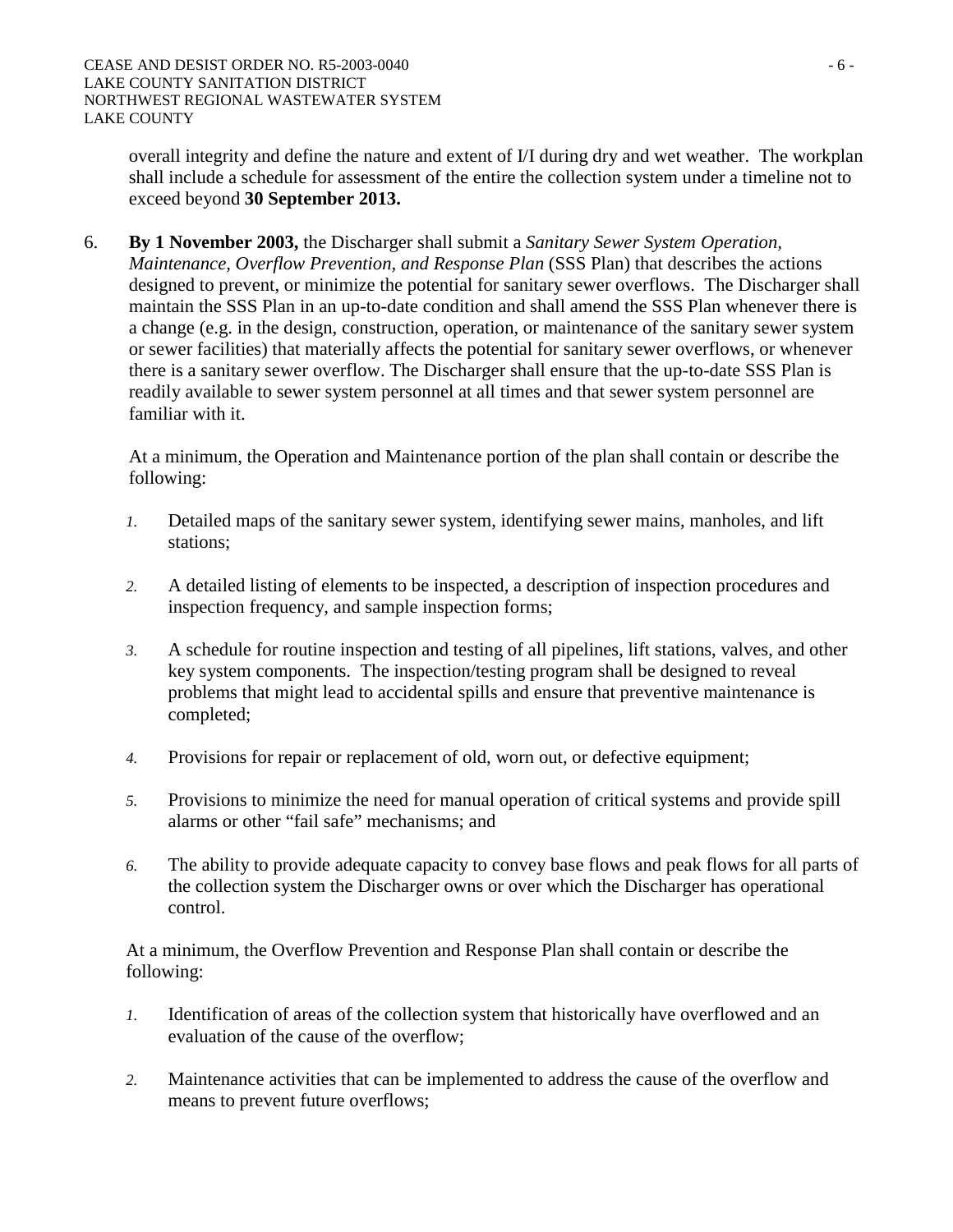overall integrity and define the nature and extent of I/I during dry and wet weather. The workplan shall include a schedule for assessment of the entire the collection system under a timeline not to exceed beyond **30 September 2013.** 

6. **By 1 November 2003,** the Discharger shall submit a *Sanitary Sewer System Operation, Maintenance, Overflow Prevention, and Response Plan* (SSS Plan) that describes the actions designed to prevent, or minimize the potential for sanitary sewer overflows. The Discharger shall maintain the SSS Plan in an up-to-date condition and shall amend the SSS Plan whenever there is a change (e.g. in the design, construction, operation, or maintenance of the sanitary sewer system or sewer facilities) that materially affects the potential for sanitary sewer overflows, or whenever there is a sanitary sewer overflow. The Discharger shall ensure that the up-to-date SSS Plan is readily available to sewer system personnel at all times and that sewer system personnel are familiar with it.

At a minimum, the Operation and Maintenance portion of the plan shall contain or describe the following:

- *1.* Detailed maps of the sanitary sewer system, identifying sewer mains, manholes, and lift stations;
- *2.* A detailed listing of elements to be inspected, a description of inspection procedures and inspection frequency, and sample inspection forms;
- *3.* A schedule for routine inspection and testing of all pipelines, lift stations, valves, and other key system components. The inspection/testing program shall be designed to reveal problems that might lead to accidental spills and ensure that preventive maintenance is completed;
- *4.* Provisions for repair or replacement of old, worn out, or defective equipment;
- *5.* Provisions to minimize the need for manual operation of critical systems and provide spill alarms or other "fail safe" mechanisms; and
- *6.* The ability to provide adequate capacity to convey base flows and peak flows for all parts of the collection system the Discharger owns or over which the Discharger has operational control.

 At a minimum, the Overflow Prevention and Response Plan shall contain or describe the following:

- *1.* Identification of areas of the collection system that historically have overflowed and an evaluation of the cause of the overflow;
- *2.* Maintenance activities that can be implemented to address the cause of the overflow and means to prevent future overflows;